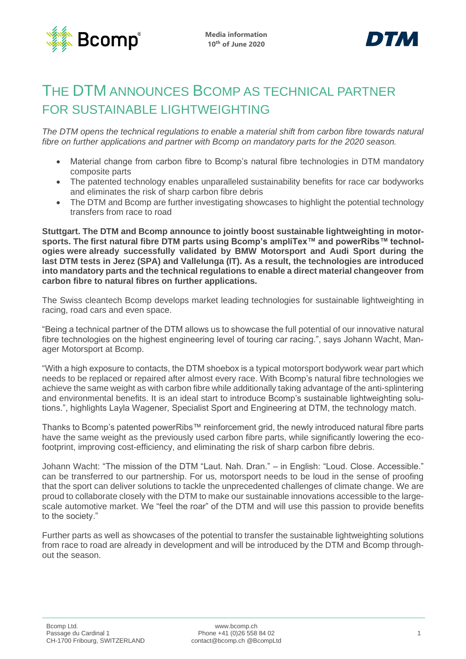



# THE DTM ANNOUNCES BCOMP AS TECHNICAL PARTNER FOR SUSTAINABLE LIGHTWEIGHTING

*The DTM opens the technical regulations to enable a material shift from carbon fibre towards natural fibre on further applications and partner with Bcomp on mandatory parts for the 2020 season.* 

- Material change from carbon fibre to Bcomp's natural fibre technologies in DTM mandatory composite parts
- The patented technology enables unparalleled sustainability benefits for race car bodyworks and eliminates the risk of sharp carbon fibre debris
- The DTM and Bcomp are further investigating showcases to highlight the potential technology transfers from race to road

**Stuttgart. The DTM and Bcomp announce to jointly boost sustainable lightweighting in motorsports. The first natural fibre DTM parts using Bcomp's ampliTex™ and powerRibs™ technologies were already successfully validated by BMW Motorsport and Audi Sport during the last DTM tests in Jerez (SPA) and Vallelunga (IT). As a result, the technologies are introduced into mandatory parts and the technical regulations to enable a direct material changeover from carbon fibre to natural fibres on further applications.**

The Swiss cleantech Bcomp develops market leading technologies for sustainable lightweighting in racing, road cars and even space.

"Being a technical partner of the DTM allows us to showcase the full potential of our innovative natural fibre technologies on the highest engineering level of touring car racing.", says Johann Wacht, Manager Motorsport at Bcomp.

"With a high exposure to contacts, the DTM shoebox is a typical motorsport bodywork wear part which needs to be replaced or repaired after almost every race. With Bcomp's natural fibre technologies we achieve the same weight as with carbon fibre while additionally taking advantage of the anti-splintering and environmental benefits. It is an ideal start to introduce Bcomp's sustainable lightweighting solutions.", highlights Layla Wagener, Specialist Sport and Engineering at DTM, the technology match.

Thanks to Bcomp's patented powerRibs™ reinforcement grid, the newly introduced natural fibre parts have the same weight as the previously used carbon fibre parts, while significantly lowering the ecofootprint, improving cost-efficiency, and eliminating the risk of sharp carbon fibre debris.

Johann Wacht: "The mission of the DTM "Laut. Nah. Dran." – in English: "Loud. Close. Accessible." can be transferred to our partnership. For us, motorsport needs to be loud in the sense of proofing that the sport can deliver solutions to tackle the unprecedented challenges of climate change. We are proud to collaborate closely with the DTM to make our sustainable innovations accessible to the largescale automotive market. We "feel the roar" of the DTM and will use this passion to provide benefits to the society."

Further parts as well as showcases of the potential to transfer the sustainable lightweighting solutions from race to road are already in development and will be introduced by the DTM and Bcomp throughout the season.